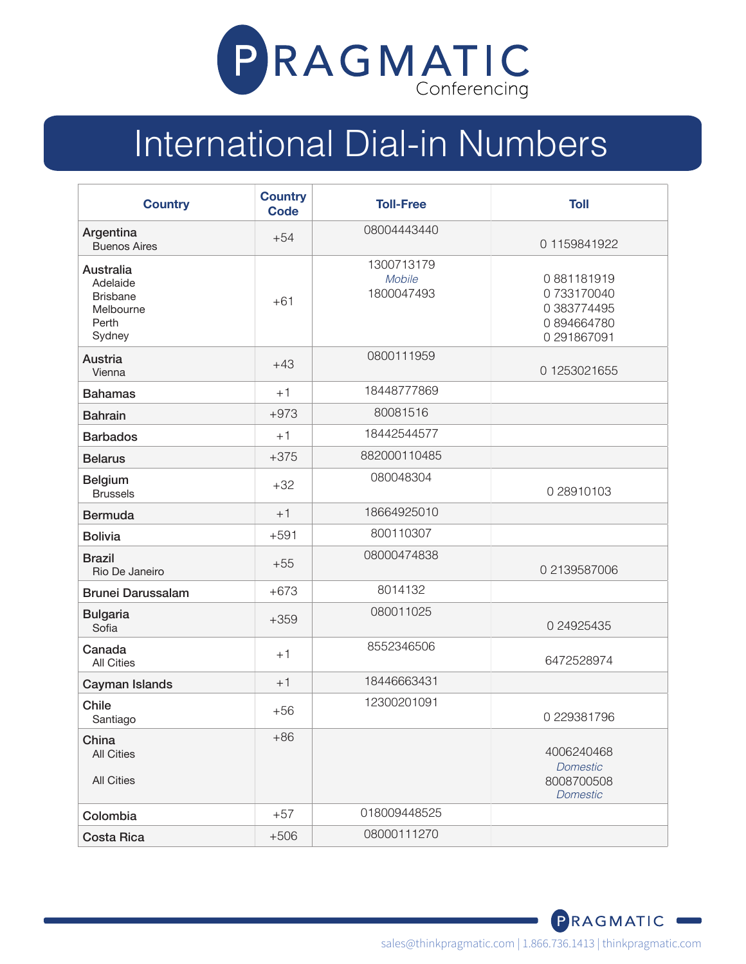

## International Dial-in Numbers

| <b>Country</b>                                                           | <b>Country</b><br><b>Code</b> | <b>Toll-Free</b>                   | <b>Toll</b>                                                          |
|--------------------------------------------------------------------------|-------------------------------|------------------------------------|----------------------------------------------------------------------|
| Argentina<br><b>Buenos Aires</b>                                         | $+54$                         | 08004443440                        | 01159841922                                                          |
| Australia<br>Adelaide<br><b>Brisbane</b><br>Melbourne<br>Perth<br>Sydney | $+61$                         | 1300713179<br>Mobile<br>1800047493 | 0881181919<br>0733170040<br>0 383774495<br>0894664780<br>0 291867091 |
| Austria<br>Vienna                                                        | $+43$                         | 0800111959                         | 01253021655                                                          |
| <b>Bahamas</b>                                                           | $+1$                          | 18448777869                        |                                                                      |
| <b>Bahrain</b>                                                           | $+973$                        | 80081516                           |                                                                      |
| <b>Barbados</b>                                                          | $+1$                          | 18442544577                        |                                                                      |
| <b>Belarus</b>                                                           | $+375$                        | 882000110485                       |                                                                      |
| <b>Belgium</b><br><b>Brussels</b>                                        | $+32$                         | 080048304                          | 0 28910103                                                           |
| <b>Bermuda</b>                                                           | $+1$                          | 18664925010                        |                                                                      |
| <b>Bolivia</b>                                                           | $+591$                        | 800110307                          |                                                                      |
| <b>Brazil</b><br>Rio De Janeiro                                          | $+55$                         | 08000474838                        | 0 2139587006                                                         |
| <b>Brunei Darussalam</b>                                                 | $+673$                        | 8014132                            |                                                                      |
| <b>Bulgaria</b><br>Sofia                                                 | $+359$                        | 080011025                          | 0 24925435                                                           |
| Canada<br><b>All Cities</b>                                              | $+1$                          | 8552346506                         | 6472528974                                                           |
| Cayman Islands                                                           | $+1$                          | 18446663431                        |                                                                      |
| Chile<br>Santiago                                                        | $+56$                         | 12300201091                        | 0 229381796                                                          |
| China<br><b>All Cities</b><br><b>All Cities</b>                          | $+86$                         |                                    | 4006240468<br><b>Domestic</b><br>8008700508<br><b>Domestic</b>       |
| Colombia                                                                 | $+57$                         | 018009448525                       |                                                                      |
| <b>Costa Rica</b>                                                        | $+506$                        | 08000111270                        |                                                                      |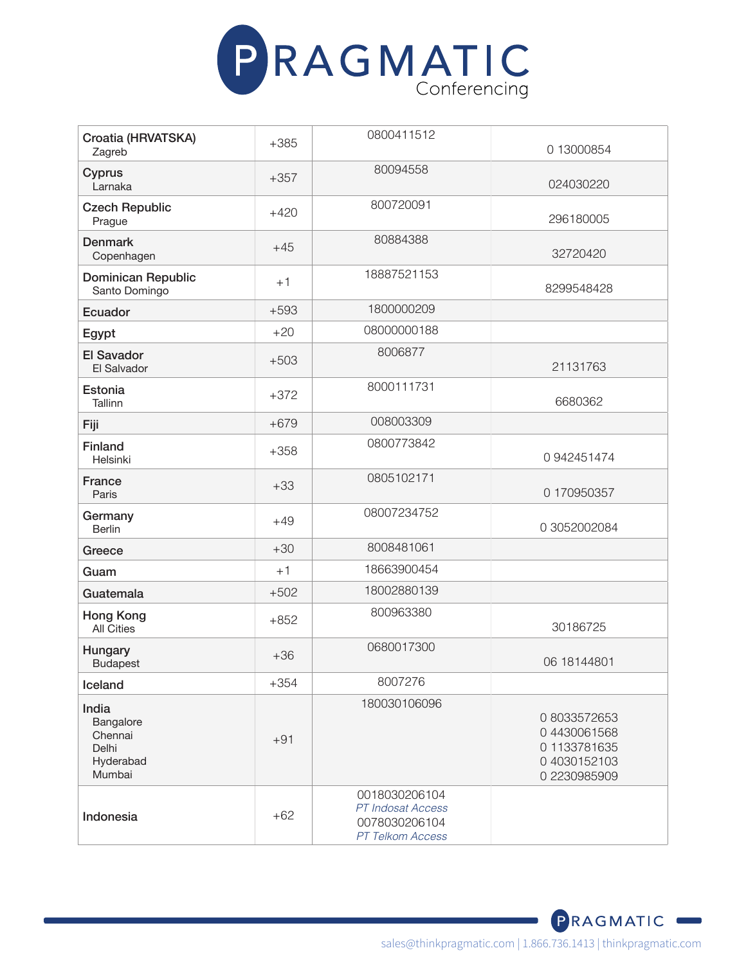

| Croatia (HRVATSKA)<br>Zagreb                                  | $+385$ | 0800411512                                                              | 0 13000854                                                               |
|---------------------------------------------------------------|--------|-------------------------------------------------------------------------|--------------------------------------------------------------------------|
| Cyprus<br>Larnaka                                             | $+357$ | 80094558                                                                | 024030220                                                                |
| <b>Czech Republic</b><br>Prague                               | $+420$ | 800720091                                                               | 296180005                                                                |
| <b>Denmark</b><br>Copenhagen                                  | $+45$  | 80884388                                                                | 32720420                                                                 |
| <b>Dominican Republic</b><br>Santo Domingo                    | $+1$   | 18887521153                                                             | 8299548428                                                               |
| Ecuador                                                       | $+593$ | 1800000209                                                              |                                                                          |
| Egypt                                                         | $+20$  | 08000000188                                                             |                                                                          |
| <b>El Savador</b><br>El Salvador                              | $+503$ | 8006877                                                                 | 21131763                                                                 |
| Estonia<br>Tallinn                                            | $+372$ | 8000111731                                                              | 6680362                                                                  |
| Fiji                                                          | $+679$ | 008003309                                                               |                                                                          |
| <b>Finland</b><br>Helsinki                                    | $+358$ | 0800773842                                                              | 0942451474                                                               |
| France<br>Paris                                               | $+33$  | 0805102171                                                              | 0 170950357                                                              |
| Germany<br><b>Berlin</b>                                      | $+49$  | 08007234752                                                             | 0 3052002084                                                             |
| Greece                                                        | $+30$  | 8008481061                                                              |                                                                          |
| Guam                                                          | $+1$   | 18663900454                                                             |                                                                          |
| Guatemala                                                     | $+502$ | 18002880139                                                             |                                                                          |
| <b>Hong Kong</b><br><b>All Cities</b>                         | $+852$ | 800963380                                                               | 30186725                                                                 |
| Hungary<br><b>Budapest</b>                                    | $+36$  | 0680017300                                                              | 06 18144801                                                              |
| Iceland                                                       | $+354$ | 8007276                                                                 |                                                                          |
| India<br>Bangalore<br>Chennai<br>Delhi<br>Hyderabad<br>Mumbai | $+91$  | 180030106096                                                            | 08033572653<br>04430061568<br>01133781635<br>04030152103<br>0 2230985909 |
| Indonesia                                                     | $+62$  | 0018030206104<br>PT Indosat Access<br>0078030206104<br>PT Telkom Access |                                                                          |

PRAGMATIC<sup>®</sup>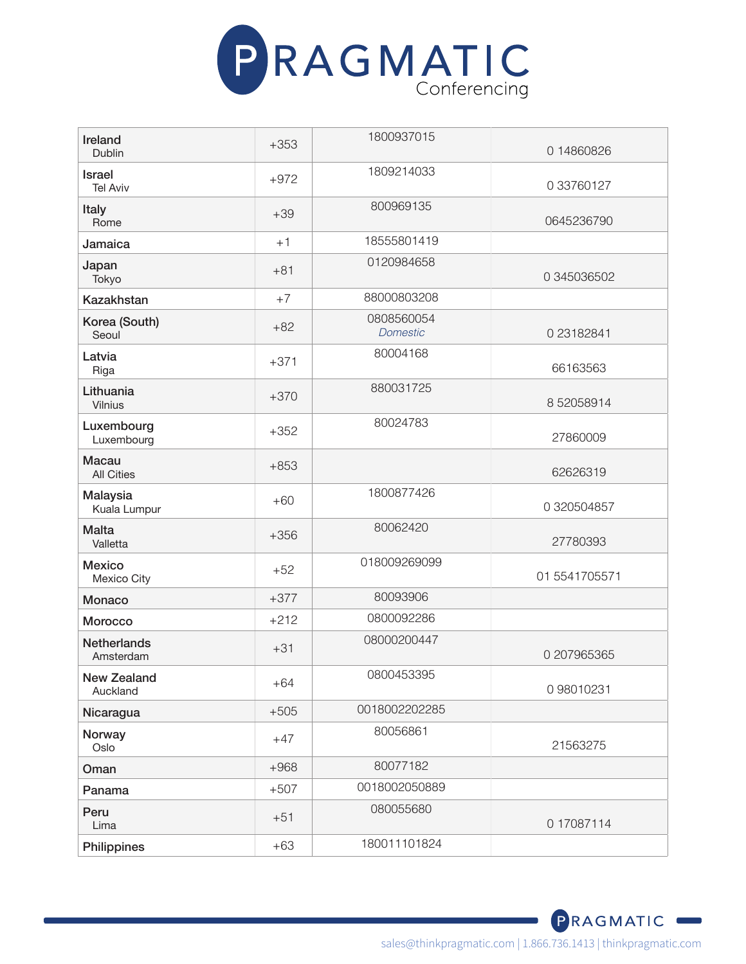

| Ireland<br>Dublin                 | $+353$ | 1800937015                    | 0 14860826    |
|-----------------------------------|--------|-------------------------------|---------------|
|                                   |        | 1809214033                    |               |
| <b>Israel</b><br><b>Tel Aviv</b>  | $+972$ |                               | 0 33760127    |
| Italy<br>Rome                     | $+39$  | 800969135                     | 0645236790    |
| Jamaica                           | $+1$   | 18555801419                   |               |
| Japan<br>Tokyo                    | $+81$  | 0120984658                    | 0 345036502   |
| <b>Kazakhstan</b>                 | $+7$   | 88000803208                   |               |
| Korea (South)<br>Seoul            | $+82$  | 0808560054<br><b>Domestic</b> | 0 23182841    |
| Latvia<br>Riga                    | $+371$ | 80004168                      | 66163563      |
| Lithuania<br>Vilnius              | $+370$ | 880031725                     | 852058914     |
| Luxembourg<br>Luxembourg          | $+352$ | 80024783                      | 27860009      |
| <b>Macau</b><br><b>All Cities</b> | $+853$ |                               | 62626319      |
| Malaysia<br>Kuala Lumpur          | $+60$  | 1800877426                    | 0 320504857   |
| <b>Malta</b><br>Valletta          | $+356$ | 80062420                      | 27780393      |
| <b>Mexico</b><br>Mexico City      | $+52$  | 018009269099                  | 01 5541705571 |
| Monaco                            | $+377$ | 80093906                      |               |
| Morocco                           | $+212$ | 0800092286                    |               |
| <b>Netherlands</b><br>Amsterdam   | $+31$  | 08000200447                   | 0 207965365   |
| <b>New Zealand</b><br>Auckland    | $+64$  | 0800453395                    | 0 98010231    |
| Nicaragua                         | $+505$ | 0018002202285                 |               |
| Norway<br>Oslo                    | $+47$  | 80056861                      | 21563275      |
| Oman                              | $+968$ | 80077182                      |               |
| Panama                            | $+507$ | 0018002050889                 |               |
| Peru<br>Lima                      | $+51$  | 080055680                     | 0 17087114    |
| Philippines                       | $+63$  | 180011101824                  |               |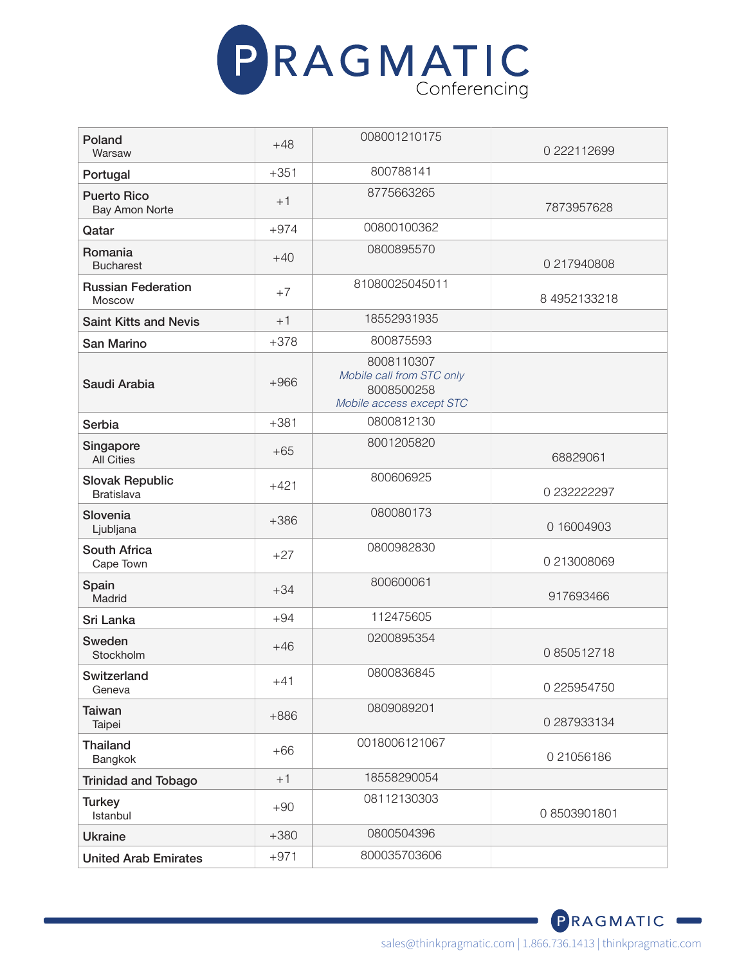

| Poland<br>Warsaw                            | $+48$  | 008001210175                                                                      | 0 222112699  |
|---------------------------------------------|--------|-----------------------------------------------------------------------------------|--------------|
| Portugal                                    | $+351$ | 800788141                                                                         |              |
| <b>Puerto Rico</b><br><b>Bay Amon Norte</b> | $+1$   | 8775663265                                                                        | 7873957628   |
| Qatar                                       | $+974$ | 00800100362                                                                       |              |
| Romania<br><b>Bucharest</b>                 | $+40$  | 0800895570                                                                        | 0 217940808  |
| <b>Russian Federation</b><br>Moscow         | $+7$   | 81080025045011                                                                    | 8 4952133218 |
| <b>Saint Kitts and Nevis</b>                | $+1$   | 18552931935                                                                       |              |
| San Marino                                  | $+378$ | 800875593                                                                         |              |
| Saudi Arabia                                | $+966$ | 8008110307<br>Mobile call from STC only<br>8008500258<br>Mobile access except STC |              |
| Serbia                                      | $+381$ | 0800812130                                                                        |              |
| Singapore<br><b>All Cities</b>              | $+65$  | 8001205820                                                                        | 68829061     |
| <b>Slovak Republic</b><br><b>Bratislava</b> | $+421$ | 800606925                                                                         | 0 232222297  |
| Slovenia<br>Ljubljana                       | $+386$ | 080080173                                                                         | 0 16004903   |
| <b>South Africa</b><br>Cape Town            | $+27$  | 0800982830                                                                        | 0 213008069  |
| Spain<br>Madrid                             | $+34$  | 800600061                                                                         | 917693466    |
| Sri Lanka                                   | $+94$  | 112475605                                                                         |              |
| Sweden<br>Stockholm                         | $+46$  | 0200895354                                                                        | 0850512718   |
| Switzerland<br>Geneva                       | $+41$  | 0800836845                                                                        | 0 225954750  |
| <b>Taiwan</b><br>Taipei                     | $+886$ | 0809089201                                                                        | 0 287933134  |
| <b>Thailand</b><br>Bangkok                  | $+66$  | 0018006121067                                                                     | 021056186    |
| <b>Trinidad and Tobago</b>                  | $+1$   | 18558290054                                                                       |              |
| <b>Turkey</b><br>Istanbul                   | $+90$  | 08112130303                                                                       | 08503901801  |
| <b>Ukraine</b>                              | $+380$ | 0800504396                                                                        |              |
| <b>United Arab Emirates</b>                 | $+971$ | 800035703606                                                                      |              |

sales@thinkpragmatic.com | 1.866.736.1413 | thinkpragmatic.com

PRAGMATIC<sup>®</sup>